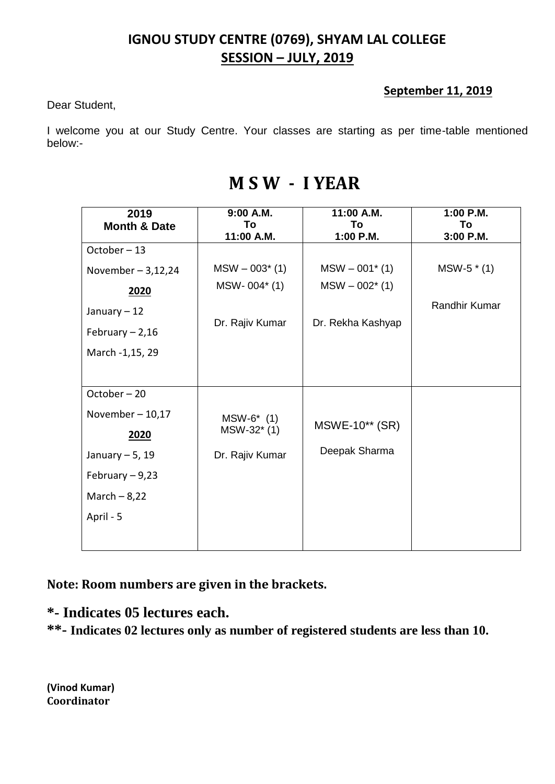#### **September 11, 2019**

Dear Student,

I welcome you at our Study Centre. Your classes are starting as per time-table mentioned below:-

| 2019                    | 9:00 A.M.        | 11:00 A.M.        | 1:00 P.M.            |
|-------------------------|------------------|-------------------|----------------------|
| <b>Month &amp; Date</b> | To<br>11:00 A.M. | To<br>1:00 P.M.   | To<br>3:00 P.M.      |
| October-13              |                  |                   |                      |
| November $-3,12,24$     | $MSW - 003*$ (1) | $MSW - 001^* (1)$ | $MSW-5$ $*$ (1)      |
| 2020                    | MSW-004* (1)     | $MSW - 002^* (1)$ |                      |
| January $-12$           |                  |                   | <b>Randhir Kumar</b> |
| February $-2,16$        | Dr. Rajiv Kumar  | Dr. Rekha Kashyap |                      |
| March -1,15, 29         |                  |                   |                      |
|                         |                  |                   |                      |
| October-20              |                  |                   |                      |
| November $-10,17$       | $MSW-6*$ (1)     |                   |                      |
| 2020                    | MSW-32* (1)      | MSWE-10** (SR)    |                      |
| January $-5$ , 19       | Dr. Rajiv Kumar  | Deepak Sharma     |                      |
| February $-9,23$        |                  |                   |                      |
| March $-8,22$           |                  |                   |                      |
| April - 5               |                  |                   |                      |
|                         |                  |                   |                      |

## **M S W - I YEAR**

**Note: Room numbers are given in the brackets.**

**\*- Indicates 05 lectures each.**

**\*\*- Indicates 02 lectures only as number of registered students are less than 10.**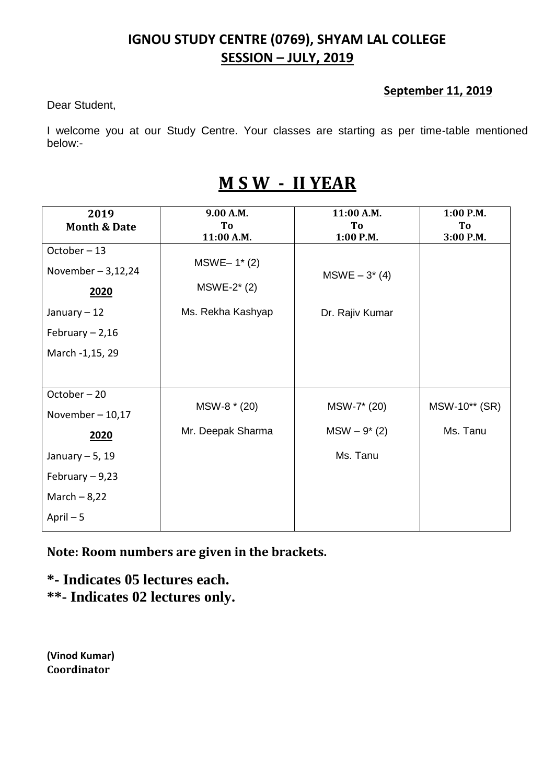#### **September 11, 2019**

Dear Student,

I welcome you at our Study Centre. Your classes are starting as per time-table mentioned below:-

## **M S W - II YEAR**

| 2019                    | 9.00 A.M.                    | 11:00 A.M.      | $1:00$ P.M.     |
|-------------------------|------------------------------|-----------------|-----------------|
| <b>Month &amp; Date</b> | T <sub>0</sub><br>11:00 A.M. | To<br>1:00 P.M. | To<br>3:00 P.M. |
| October-13              |                              |                 |                 |
| November $-3,12,24$     | $MSWE-1*(2)$                 | $MSWE - 3*(4)$  |                 |
| 2020                    | $MSWE-2*(2)$                 |                 |                 |
| January $-12$           | Ms. Rekha Kashyap            | Dr. Rajiv Kumar |                 |
| February $-2,16$        |                              |                 |                 |
| March -1,15, 29         |                              |                 |                 |
|                         |                              |                 |                 |
| October-20              |                              |                 |                 |
| November $-10,17$       | MSW-8 * (20)                 | MSW-7* (20)     | MSW-10** (SR)   |
| 2020                    | Mr. Deepak Sharma            | $MSW - 9*(2)$   | Ms. Tanu        |
| January $-5$ , 19       |                              | Ms. Tanu        |                 |
| February $-9,23$        |                              |                 |                 |
| March $-8,22$           |                              |                 |                 |
| April $-5$              |                              |                 |                 |

**Note: Room numbers are given in the brackets.**

**\*- Indicates 05 lectures each. \*\*- Indicates 02 lectures only.**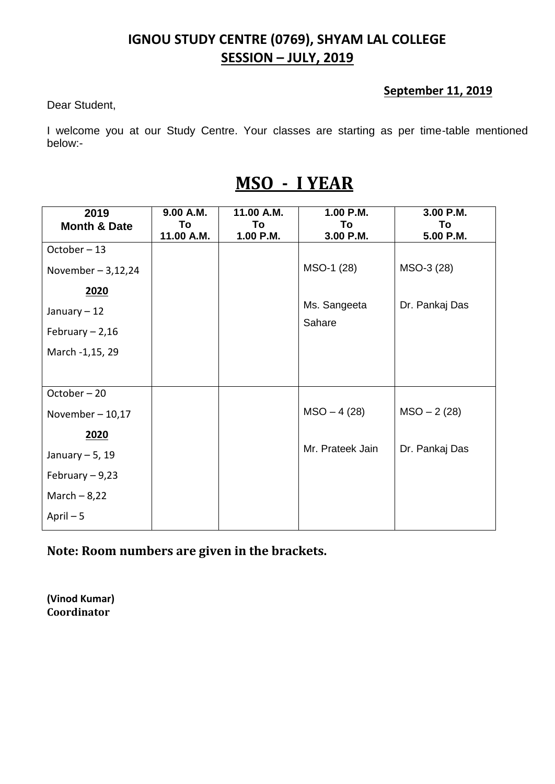#### **September 11, 2019**

Dear Student,

I welcome you at our Study Centre. Your classes are starting as per time-table mentioned below:-

# **MSO - I YEAR**

| 2019                    | 9.00 A.M.        | 11.00 A.M.      | 1.00 P.M.        | 3.00 P.M.      |
|-------------------------|------------------|-----------------|------------------|----------------|
| <b>Month &amp; Date</b> | To<br>11.00 A.M. | To<br>1.00 P.M. | To               | To             |
| October-13              |                  |                 | 3.00 P.M.        | 5.00 P.M.      |
| November $-3,12,24$     |                  |                 | MSO-1 (28)       | MSO-3 (28)     |
| 2020                    |                  |                 |                  |                |
| January - 12            |                  |                 | Ms. Sangeeta     | Dr. Pankaj Das |
| February $-2,16$        |                  |                 | Sahare           |                |
| March -1,15, 29         |                  |                 |                  |                |
|                         |                  |                 |                  |                |
| October-20              |                  |                 |                  |                |
| November $-10,17$       |                  |                 | $MSO - 4(28)$    | $MSO - 2(28)$  |
| 2020                    |                  |                 |                  |                |
| January $-5$ , 19       |                  |                 | Mr. Prateek Jain | Dr. Pankaj Das |
| February $-9,23$        |                  |                 |                  |                |
| March $-8,22$           |                  |                 |                  |                |
| April $-5$              |                  |                 |                  |                |

**Note: Room numbers are given in the brackets.**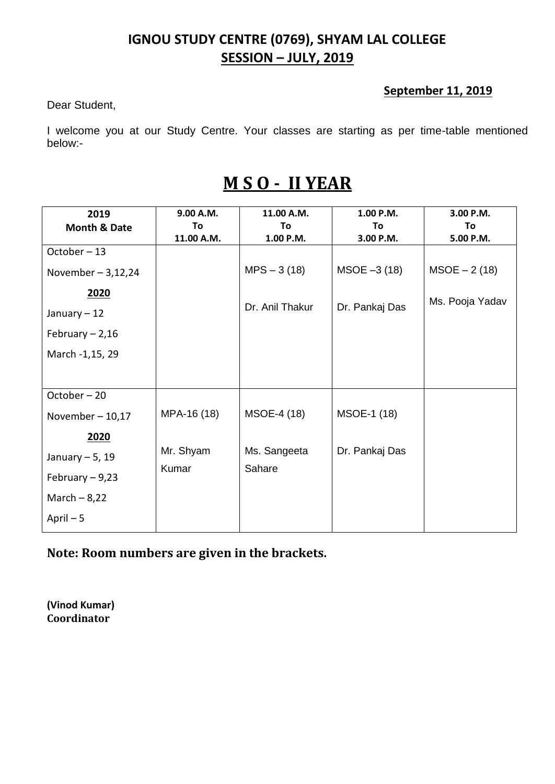#### **September 11, 2019**

Dear Student,

I welcome you at our Study Centre. Your classes are starting as per time-table mentioned below:-

# **M S O - II YEAR**

| 2019                    | 9.00 A.M.   | 11.00 A.M.      | 1.00 P.M.      | 3.00 P.M.       |
|-------------------------|-------------|-----------------|----------------|-----------------|
| <b>Month &amp; Date</b> | To          | To              | To             | To              |
|                         | 11.00 A.M.  | 1.00 P.M.       | 3.00 P.M.      | 5.00 P.M.       |
| October-13              |             |                 |                |                 |
| November $-3,12,24$     |             | $MPS - 3(18)$   | $MSOE - 3(18)$ | $MSOE - 2(18)$  |
| 2020                    |             |                 |                | Ms. Pooja Yadav |
| January - 12            |             | Dr. Anil Thakur | Dr. Pankaj Das |                 |
| February $-2,16$        |             |                 |                |                 |
| March -1,15, 29         |             |                 |                |                 |
|                         |             |                 |                |                 |
| October-20              |             |                 |                |                 |
| November $-10,17$       | MPA-16 (18) | MSOE-4 (18)     | MSOE-1 (18)    |                 |
| 2020                    |             |                 |                |                 |
| January $-5$ , 19       | Mr. Shyam   | Ms. Sangeeta    | Dr. Pankaj Das |                 |
| February $-9,23$        | Kumar       | Sahare          |                |                 |
| March $-8,22$           |             |                 |                |                 |
| April $-5$              |             |                 |                |                 |

**Note: Room numbers are given in the brackets.**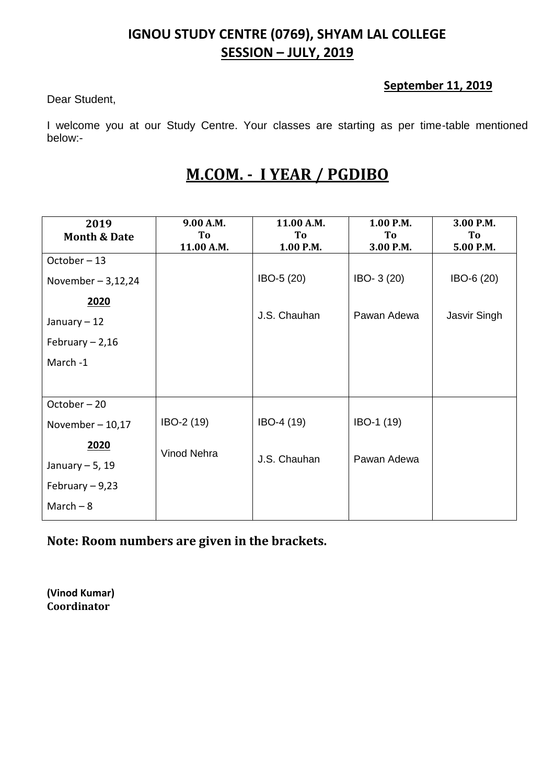#### **September 11, 2019**

Dear Student,

I welcome you at our Study Centre. Your classes are starting as per time-table mentioned below:-

## **M.COM. - I YEAR / PGDIBO**

| 2019                    | 9.00 A.M.   | 11.00 A.M.   | 1.00 P.M.   | 3.00 P.M.    |
|-------------------------|-------------|--------------|-------------|--------------|
| <b>Month &amp; Date</b> | To          | To           | To          | To           |
|                         | 11.00 A.M.  | 1.00 P.M.    | 3.00 P.M.   | 5.00 P.M.    |
| October-13              |             |              |             |              |
| November $-3,12,24$     |             | IBO-5 (20)   | IBO- 3 (20) | IBO-6 (20)   |
| 2020                    |             |              |             |              |
| January - 12            |             | J.S. Chauhan | Pawan Adewa | Jasvir Singh |
| February $-2,16$        |             |              |             |              |
| March -1                |             |              |             |              |
|                         |             |              |             |              |
| October-20              |             |              |             |              |
| November $-10,17$       | IBO-2 (19)  | IBO-4 (19)   | IBO-1 (19)  |              |
| 2020                    | Vinod Nehra |              |             |              |
| January $-5$ , 19       |             | J.S. Chauhan | Pawan Adewa |              |
| February $-9,23$        |             |              |             |              |
| March $-8$              |             |              |             |              |

**Note: Room numbers are given in the brackets.**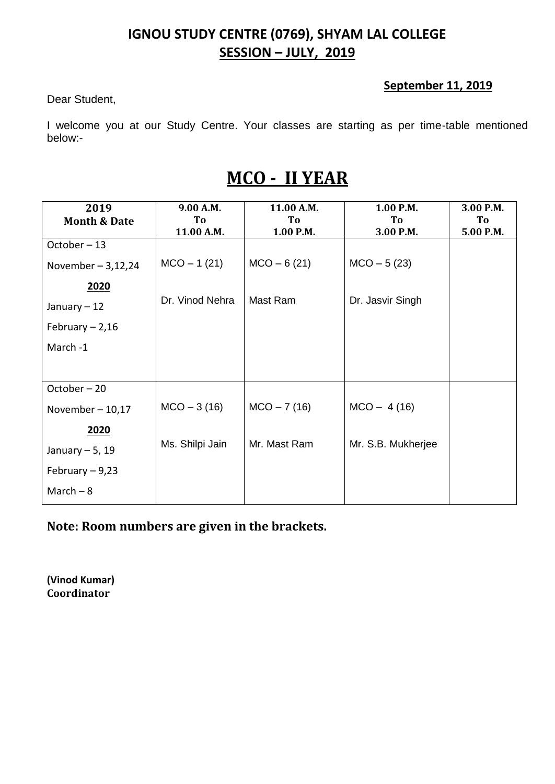#### **September 11, 2019**

Dear Student,

I welcome you at our Study Centre. Your classes are starting as per time-table mentioned below:-

# **MCO - II YEAR**

| 2019                    | 9.00 A.M.       | 11.00 A.M.    | 1.00 P.M.          | 3.00 P.M. |
|-------------------------|-----------------|---------------|--------------------|-----------|
| <b>Month &amp; Date</b> | To              | To            | To                 | To        |
|                         | 11.00 A.M.      | 1.00 P.M.     | 3.00 P.M.          | 5.00 P.M. |
| October-13              |                 |               |                    |           |
| November $-3,12,24$     | $MCO - 1$ (21)  | $MCO - 6(21)$ | $MCO - 5(23)$      |           |
| 2020                    |                 |               |                    |           |
| January $-12$           | Dr. Vinod Nehra | Mast Ram      | Dr. Jasvir Singh   |           |
| February $-2,16$        |                 |               |                    |           |
| March -1                |                 |               |                    |           |
|                         |                 |               |                    |           |
| October-20              |                 |               |                    |           |
| November $-10,17$       | $MCO - 3(16)$   | $MCO - 7(16)$ | $MCO - 4(16)$      |           |
| 2020                    |                 |               |                    |           |
| January $-5$ , 19       | Ms. Shilpi Jain | Mr. Mast Ram  | Mr. S.B. Mukherjee |           |
| February $-9,23$        |                 |               |                    |           |
| March $-8$              |                 |               |                    |           |

**Note: Room numbers are given in the brackets.**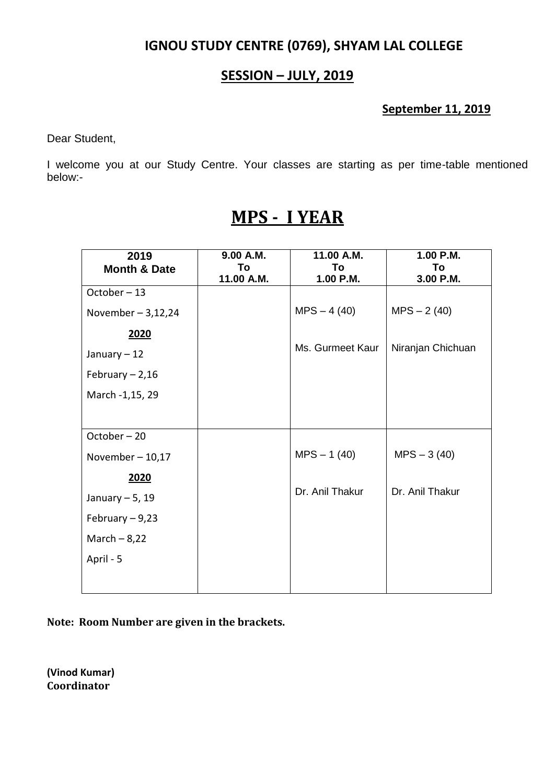#### **SESSION – JULY, 2019**

#### **September 11, 2019**

Dear Student,

I welcome you at our Study Centre. Your classes are starting as per time-table mentioned below:-

| 2019                    | 9.00 A.M.  | 11.00 A.M.       | 1.00 P.M.         |
|-------------------------|------------|------------------|-------------------|
| <b>Month &amp; Date</b> | To         | To               | To                |
|                         | 11.00 A.M. | 1.00 P.M.        | 3.00 P.M.         |
| October-13              |            |                  |                   |
| November $-3,12,24$     |            | $MPS - 4(40)$    | $MPS - 2(40)$     |
| 2020                    |            |                  |                   |
| January $-12$           |            | Ms. Gurmeet Kaur | Niranjan Chichuan |
| February $-2,16$        |            |                  |                   |
| March -1,15, 29         |            |                  |                   |
|                         |            |                  |                   |
| October-20              |            |                  |                   |
| November $-10,17$       |            | $MPS - 1(40)$    | $MPS - 3(40)$     |
| 2020                    |            |                  |                   |
| January $-5$ , 19       |            | Dr. Anil Thakur  | Dr. Anil Thakur   |
| February $-9,23$        |            |                  |                   |
| March $-8,22$           |            |                  |                   |
| April - 5               |            |                  |                   |
|                         |            |                  |                   |

## **MPS - I YEAR**

**Note: Room Number are given in the brackets.**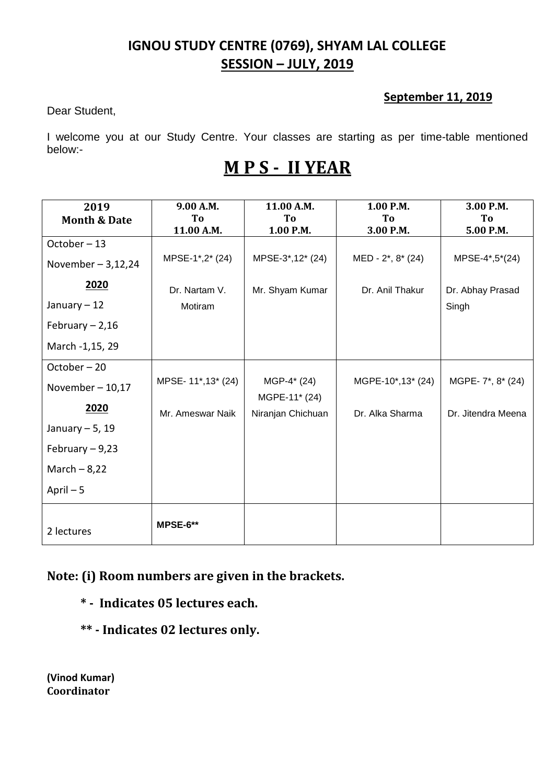#### **September 11, 2019**

Dear Student,

I welcome you at our Study Centre. Your classes are starting as per time-table mentioned below:-

# **M P S - II YEAR**

| 2019                    | 9.00 A.M.         | 11.00 A.M.        | 1.00 P.M.         | 3.00 P.M.          |
|-------------------------|-------------------|-------------------|-------------------|--------------------|
| <b>Month &amp; Date</b> | To                | To                | To                | To                 |
|                         | 11.00 A.M.        | 1.00 P.M.         | 3.00 P.M.         | 5.00 P.M.          |
| October-13              |                   |                   |                   |                    |
| November $-3,12,24$     | MPSE-1*,2* (24)   | MPSE-3*,12* (24)  | MED - 2*, 8* (24) | MPSE-4*,5*(24)     |
| 2020                    | Dr. Nartam V.     | Mr. Shyam Kumar   | Dr. Anil Thakur   | Dr. Abhay Prasad   |
| January - 12            | Motiram           |                   |                   | Singh              |
| February $-2,16$        |                   |                   |                   |                    |
| March -1,15, 29         |                   |                   |                   |                    |
| October-20              |                   |                   |                   |                    |
| November $-10,17$       | MPSE-11*,13* (24) | MGP-4* (24)       | MGPE-10*,13* (24) | MGPE- 7*, 8* (24)  |
|                         |                   | MGPE-11* (24)     |                   |                    |
| 2020                    | Mr. Ameswar Naik  | Niranjan Chichuan | Dr. Alka Sharma   | Dr. Jitendra Meena |
| January $-5$ , 19       |                   |                   |                   |                    |
| February $-9,23$        |                   |                   |                   |                    |
| March $-8,22$           |                   |                   |                   |                    |
| April $-5$              |                   |                   |                   |                    |
| 2 lectures              | MPSE-6**          |                   |                   |                    |

#### **Note: (i) Room numbers are given in the brackets.**

- **\* Indicates 05 lectures each.**
- **\*\* - Indicates 02 lectures only.**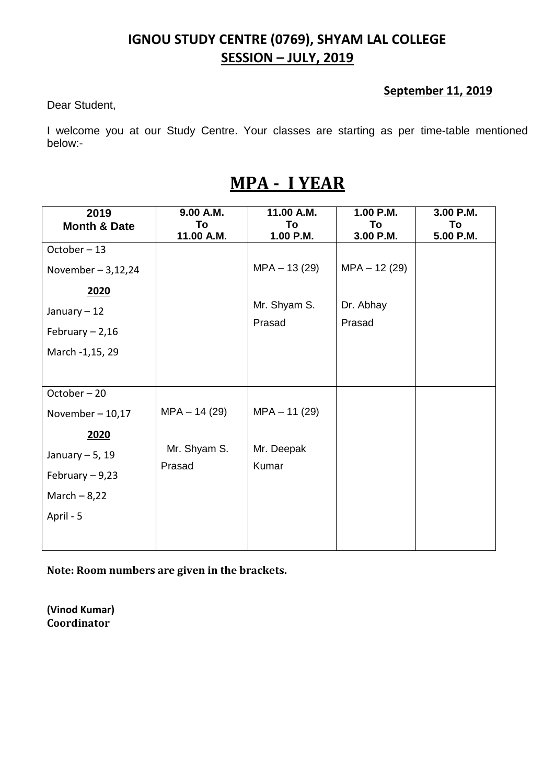#### **September 11, 2019**

Dear Student,

I welcome you at our Study Centre. Your classes are starting as per time-table mentioned below:-

# **MPA - I YEAR**

| 2019                    | 9.00 A.M.      | 11.00 A.M.     | 1.00 P.M.      | 3.00 P.M. |
|-------------------------|----------------|----------------|----------------|-----------|
| <b>Month &amp; Date</b> | To             | To             | To             | To        |
|                         | 11.00 A.M.     | 1.00 P.M.      | 3.00 P.M.      | 5.00 P.M. |
| October-13              |                |                |                |           |
| November $-3,12,24$     |                | $MPA - 13(29)$ | $MPA - 12(29)$ |           |
| 2020                    |                |                |                |           |
| January $-12$           |                | Mr. Shyam S.   | Dr. Abhay      |           |
| February $-2,16$        |                | Prasad         | Prasad         |           |
|                         |                |                |                |           |
| March -1,15, 29         |                |                |                |           |
|                         |                |                |                |           |
| October-20              |                |                |                |           |
| November $-10,17$       | $MPA - 14(29)$ | $MPA - 11(29)$ |                |           |
| 2020                    |                |                |                |           |
| January $-5$ , 19       | Mr. Shyam S.   | Mr. Deepak     |                |           |
| February $-9,23$        | Prasad         | Kumar          |                |           |
|                         |                |                |                |           |
| March $-8,22$           |                |                |                |           |
| April - 5               |                |                |                |           |
|                         |                |                |                |           |
|                         |                |                |                |           |

**Note: Room numbers are given in the brackets.**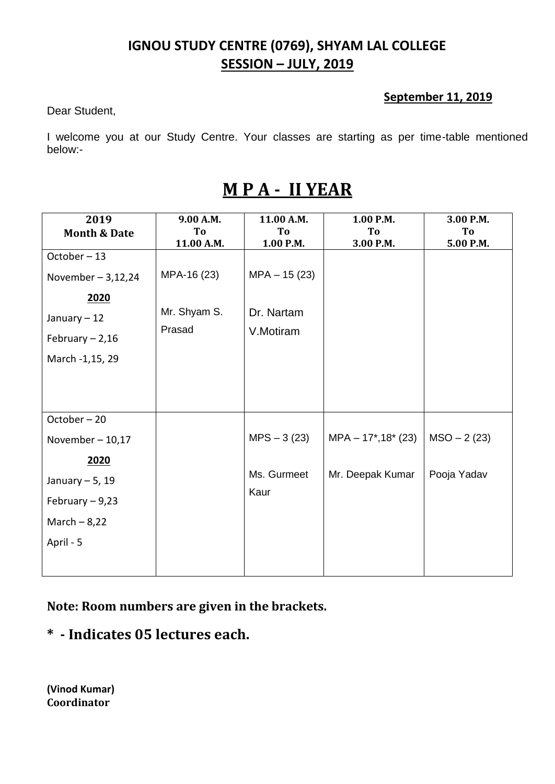#### **September 11, 2019**

Dear Student,

I welcome you at our Study Centre. Your classes are starting as per time-table mentioned below:-

| 2019                    | 9.00 A.M.    | 11.00 A.M.     | 1.00 P.M.                 | 3.00 P.M.     |
|-------------------------|--------------|----------------|---------------------------|---------------|
| <b>Month &amp; Date</b> | To           | To             | T <sub>o</sub>            | To            |
|                         | 11.00 A.M.   | 1.00 P.M.      | 3.00 P.M.                 | 5.00 P.M.     |
| October-13              |              |                |                           |               |
| November $-3,12,24$     | MPA-16 (23)  | $MPA - 15(23)$ |                           |               |
| 2020                    |              |                |                           |               |
| January - 12            | Mr. Shyam S. | Dr. Nartam     |                           |               |
| February $-2,16$        | Prasad       | V.Motiram      |                           |               |
| March -1,15, 29         |              |                |                           |               |
|                         |              |                |                           |               |
|                         |              |                |                           |               |
| October-20              |              |                |                           |               |
| November $-10,17$       |              | $MPS - 3(23)$  | $MPA - 17^*$ , 18 $*(23)$ | $MSO - 2(23)$ |
| 2020                    |              |                |                           |               |
| January $-5$ , 19       |              | Ms. Gurmeet    | Mr. Deepak Kumar          | Pooja Yadav   |
| February $-9,23$        |              | Kaur           |                           |               |
| March $-8,22$           |              |                |                           |               |
| April - 5               |              |                |                           |               |
|                         |              |                |                           |               |

# **M P A - II YEAR**

**Note: Room numbers are given in the brackets.**

**\* - Indicates 05 lectures each.**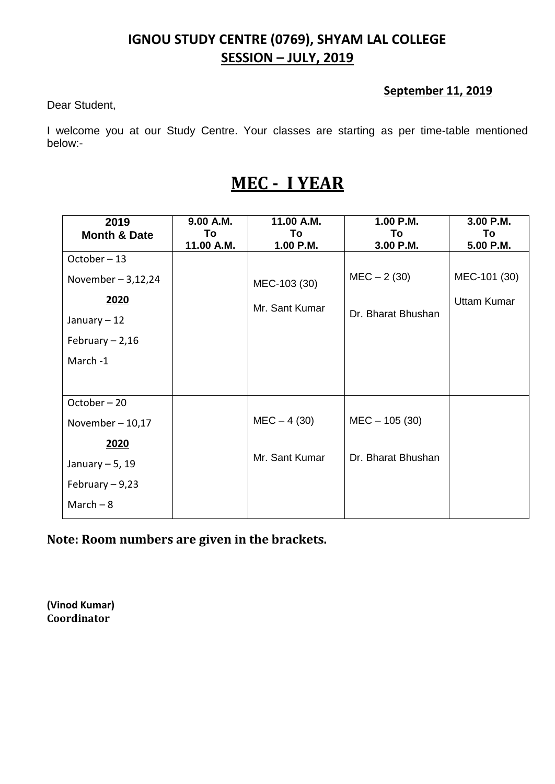#### **September 11, 2019**

Dear Student,

I welcome you at our Study Centre. Your classes are starting as per time-table mentioned below:-

# **MEC - I YEAR**

| 2019                    | 9.00 A.M.  | 11.00 A.M.     | 1.00 P.M.          | 3.00 P.M.          |
|-------------------------|------------|----------------|--------------------|--------------------|
| <b>Month &amp; Date</b> | To         | To             | To                 | To                 |
|                         | 11.00 A.M. | 1.00 P.M.      | 3.00 P.M.          | 5.00 P.M.          |
| October-13              |            |                |                    |                    |
| November $-3,12,24$     |            | MEC-103 (30)   | $MEC - 2(30)$      | MEC-101 (30)       |
| 2020                    |            | Mr. Sant Kumar |                    | <b>Uttam Kumar</b> |
| January $-12$           |            |                | Dr. Bharat Bhushan |                    |
| February $-2,16$        |            |                |                    |                    |
| March-1                 |            |                |                    |                    |
|                         |            |                |                    |                    |
| October-20              |            |                |                    |                    |
| November $-10,17$       |            | $MEC - 4(30)$  | $MEC - 105(30)$    |                    |
| 2020                    |            |                |                    |                    |
| January $-5$ , 19       |            | Mr. Sant Kumar | Dr. Bharat Bhushan |                    |
| February $-9,23$        |            |                |                    |                    |
| March $-8$              |            |                |                    |                    |
|                         |            |                |                    |                    |

**Note: Room numbers are given in the brackets.**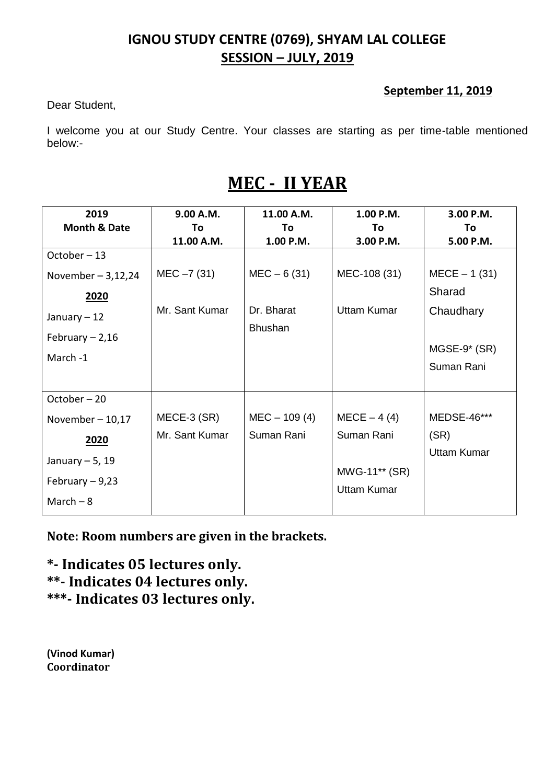#### **September 11, 2019**

Dear Student,

I welcome you at our Study Centre. Your classes are starting as per time-table mentioned below:-

# **MEC - II YEAR**

| 2019                    | 9.00 A.M.      | 11.00 A.M.     | 1.00 P.M.          | 3.00 P.M.          |
|-------------------------|----------------|----------------|--------------------|--------------------|
| <b>Month &amp; Date</b> | To             | Τo             | Τo                 | To                 |
|                         | 11.00 A.M.     | 1.00 P.M.      | 3.00 P.M.          | 5.00 P.M.          |
| October-13              |                |                |                    |                    |
| November $-3,12,24$     | $MEC - 7(31)$  | $MEC - 6(31)$  | MEC-108 (31)       | $MECE - 1 (31)$    |
| <u>2020</u>             |                |                |                    | Sharad             |
| January $-12$           | Mr. Sant Kumar | Dr. Bharat     | <b>Uttam Kumar</b> | Chaudhary          |
| February $-2,16$        |                | <b>Bhushan</b> |                    |                    |
|                         |                |                |                    | $MGSE-9*$ (SR)     |
| March -1                |                |                |                    | Suman Rani         |
|                         |                |                |                    |                    |
| October-20              |                |                |                    |                    |
| November $-10,17$       | MECE-3 (SR)    | $MEC - 109(4)$ | $MECE - 4(4)$      | MEDSE-46***        |
| 2020                    | Mr. Sant Kumar | Suman Rani     | Suman Rani         | (SR)               |
| January $-5$ , 19       |                |                |                    | <b>Uttam Kumar</b> |
|                         |                |                | MWG-11** (SR)      |                    |
| February $-9,23$        |                |                | <b>Uttam Kumar</b> |                    |
| March $-8$              |                |                |                    |                    |

**Note: Room numbers are given in the brackets.**

**\*- Indicates 05 lectures only. \*\*- Indicates 04 lectures only. \*\*\*- Indicates 03 lectures only.**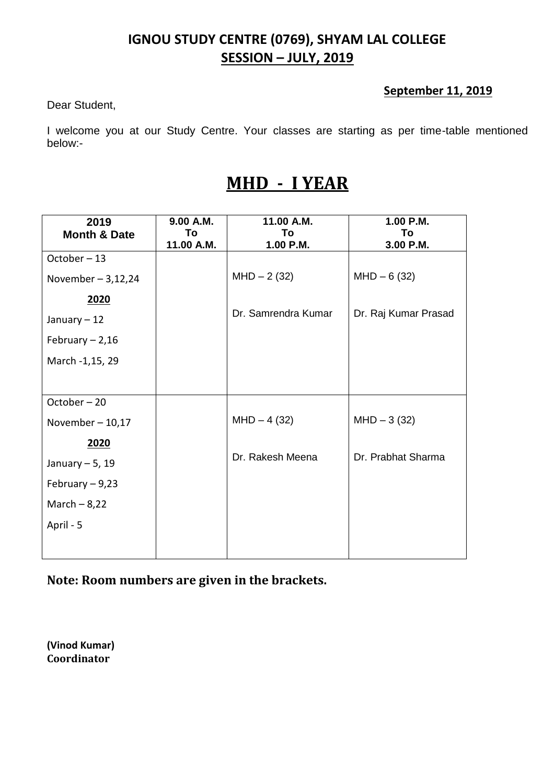#### **September 11, 2019**

Dear Student,

I welcome you at our Study Centre. Your classes are starting as per time-table mentioned below:-

# **MHD - I YEAR**

| 2019                    | 9.00 A.M.  | 11.00 A.M.          | 1.00 P.M.            |
|-------------------------|------------|---------------------|----------------------|
| <b>Month &amp; Date</b> | To         | To                  | To                   |
| October-13              | 11.00 A.M. | 1.00 P.M.           | 3.00 P.M.            |
| November $-3,12,24$     |            | $MHD - 2(32)$       | $MHD - 6(32)$        |
| 2020                    |            |                     |                      |
| January - 12            |            | Dr. Samrendra Kumar | Dr. Raj Kumar Prasad |
| February $-2,16$        |            |                     |                      |
| March -1,15, 29         |            |                     |                      |
|                         |            |                     |                      |
| October-20              |            |                     |                      |
| November $-10,17$       |            | $MHD - 4(32)$       | $MHD - 3(32)$        |
| 2020                    |            |                     |                      |
| January $-5$ , 19       |            | Dr. Rakesh Meena    | Dr. Prabhat Sharma   |
| February $-9,23$        |            |                     |                      |
| March $-8,22$           |            |                     |                      |
| April - 5               |            |                     |                      |
|                         |            |                     |                      |

**Note: Room numbers are given in the brackets.**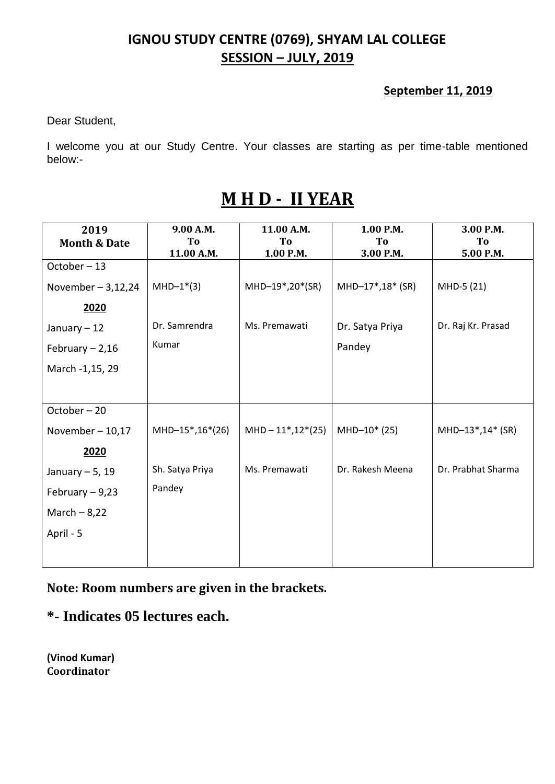#### **September 11, 2019**

Dear Student,

I welcome you at our Study Centre. Your classes are starting as per time-table mentioned below:-

| 2019                    | 9.00 A.M.       | 11.00 A.M.           | 1.00 P.M.        | 3.00 P.M.          |
|-------------------------|-----------------|----------------------|------------------|--------------------|
| <b>Month &amp; Date</b> | To              | To                   | To               | To                 |
|                         | 11.00 A.M.      | 1.00 P.M.            | 3.00 P.M.        | 5.00 P.M.          |
| October-13              |                 |                      |                  |                    |
| November $-3,12,24$     | $MHD-1*(3)$     | MHD-19*,20*(SR)      | MHD-17*,18* (SR) | MHD-5 (21)         |
| 2020                    |                 |                      |                  |                    |
| January $-12$           | Dr. Samrendra   | Ms. Premawati        | Dr. Satya Priya  | Dr. Raj Kr. Prasad |
| February $-2,16$        | Kumar           |                      | Pandey           |                    |
| March -1,15, 29         |                 |                      |                  |                    |
|                         |                 |                      |                  |                    |
| October-20              |                 |                      |                  |                    |
| November $-10,17$       | MHD-15*,16*(26) | $MHD - 11*, 12*(25)$ | $MHD-10*(25)$    | MHD-13*,14* (SR)   |
| 2020                    |                 |                      |                  |                    |
| January $-5$ , 19       | Sh. Satya Priya | Ms. Premawati        | Dr. Rakesh Meena | Dr. Prabhat Sharma |
| February $-9,23$        | Pandey          |                      |                  |                    |
| March $-8,22$           |                 |                      |                  |                    |
| April - 5               |                 |                      |                  |                    |
|                         |                 |                      |                  |                    |

# **M H D - II YEAR**

**Note: Room numbers are given in the brackets.**

### **\*- Indicates 05 lectures each.**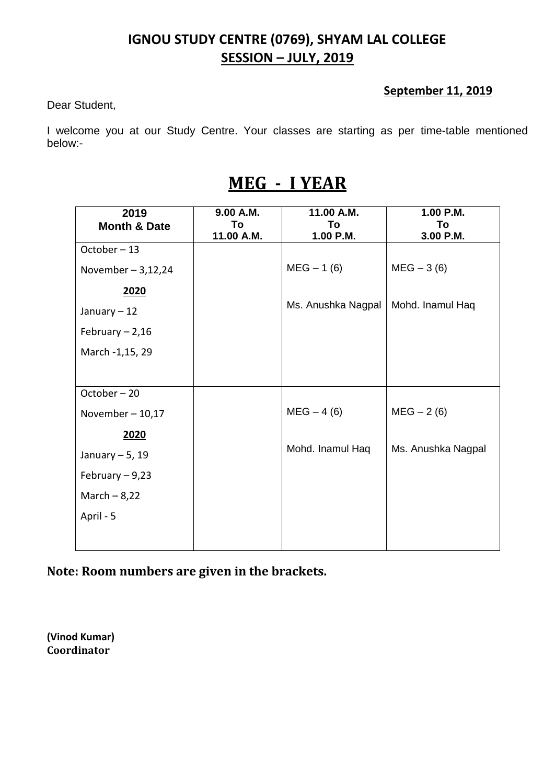#### **September 11, 2019**

Dear Student,

I welcome you at our Study Centre. Your classes are starting as per time-table mentioned below:-

# **MEG - I YEAR**

| 2019                    | 9.00 A.M.  | 11.00 A.M.         | 1.00 P.M.          |
|-------------------------|------------|--------------------|--------------------|
| <b>Month &amp; Date</b> | To         | To                 | To                 |
|                         | 11.00 A.M. | 1.00 P.M.          | 3.00 P.M.          |
| October-13              |            |                    |                    |
| November $-3,12,24$     |            | $MEG - 1(6)$       | $MEG - 3(6)$       |
| 2020                    |            |                    |                    |
| January $-12$           |            | Ms. Anushka Nagpal | Mohd. Inamul Haq   |
| February $-2,16$        |            |                    |                    |
| March -1,15, 29         |            |                    |                    |
|                         |            |                    |                    |
| October-20              |            |                    |                    |
| November $-10,17$       |            | $MEG - 4(6)$       | $MEG - 2(6)$       |
| 2020                    |            |                    |                    |
| January $-5$ , 19       |            | Mohd. Inamul Haq   | Ms. Anushka Nagpal |
| February $-9,23$        |            |                    |                    |
| March $-8,22$           |            |                    |                    |
| April - 5               |            |                    |                    |
|                         |            |                    |                    |

**Note: Room numbers are given in the brackets.**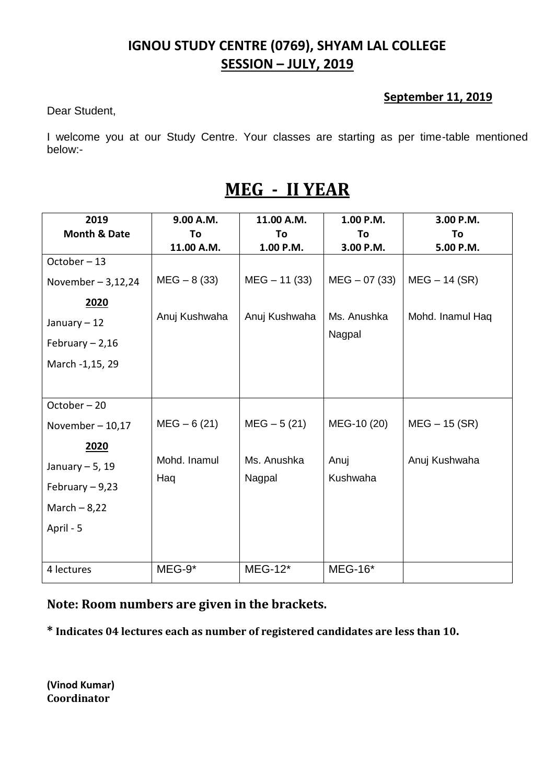#### **September 11, 2019**

Dear Student,

I welcome you at our Study Centre. Your classes are starting as per time-table mentioned below:-

| 2019                    | 9.00 A.M.     | 11.00 A.M.     | 1.00 P.M.        | 3.00 P.M.        |
|-------------------------|---------------|----------------|------------------|------------------|
| <b>Month &amp; Date</b> | To            | To             | To               | To               |
|                         | 11.00 A.M.    | 1.00 P.M.      | 3.00 P.M.        | 5.00 P.M.        |
| October-13              |               |                |                  |                  |
| November $-3,12,24$     | $MEG - 8(33)$ | $MEG - 11(33)$ | $MEG - 07(33)$   | $MEG - 14$ (SR)  |
| 2020                    |               |                |                  |                  |
| January $-12$           | Anuj Kushwaha | Anuj Kushwaha  | Ms. Anushka      | Mohd. Inamul Haq |
| February $-2,16$        |               |                | Nagpal           |                  |
| March -1,15, 29         |               |                |                  |                  |
|                         |               |                |                  |                  |
| October-20              |               |                |                  |                  |
| November $-10,17$       | $MEG - 6(21)$ | $MEG - 5(21)$  | MEG-10 (20)      | $MEG - 15$ (SR)  |
| 2020                    |               |                |                  |                  |
| January $-5$ , 19       | Mohd. Inamul  | Ms. Anushka    | Anuj<br>Kushwaha | Anuj Kushwaha    |
| February $-9,23$        | Haq           | Nagpal         |                  |                  |
| March $-8,22$           |               |                |                  |                  |
| April - 5               |               |                |                  |                  |
|                         |               |                |                  |                  |
| 4 lectures              | $MEG-9*$      | <b>MEG-12*</b> | <b>MEG-16*</b>   |                  |

# **MEG - II YEAR**

**Note: Room numbers are given in the brackets.**

**\* Indicates 04 lectures each as number of registered candidates are less than 10.**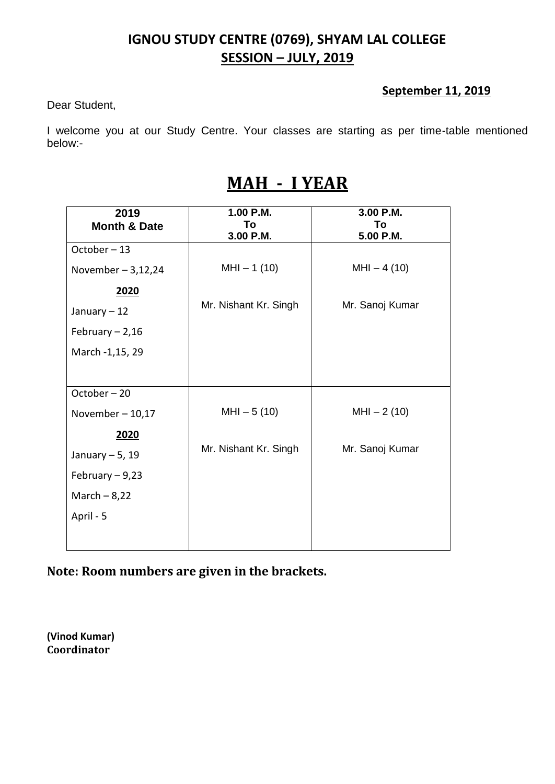#### **September 11, 2019**

Dear Student,

I welcome you at our Study Centre. Your classes are starting as per time-table mentioned below:-

# **MAH - I YEAR**

| 2019                    | 1.00 P.M.             | 3.00 P.M.       |
|-------------------------|-----------------------|-----------------|
| <b>Month &amp; Date</b> | To                    | To              |
|                         | 3.00 P.M.             | 5.00 P.M.       |
| October-13              |                       |                 |
| November $-3,12,24$     | $MHI - 1(10)$         | $MHI - 4(10)$   |
| 2020                    |                       |                 |
| January $-12$           | Mr. Nishant Kr. Singh | Mr. Sanoj Kumar |
| February $-2,16$        |                       |                 |
| March -1,15, 29         |                       |                 |
|                         |                       |                 |
| October-20              |                       |                 |
| November $-10,17$       | $MHI - 5(10)$         | $MHI - 2(10)$   |
| 2020                    |                       |                 |
| January $-5$ , 19       | Mr. Nishant Kr. Singh | Mr. Sanoj Kumar |
| February $-9,23$        |                       |                 |
| March $-8,22$           |                       |                 |
| April - 5               |                       |                 |
|                         |                       |                 |

**Note: Room numbers are given in the brackets.**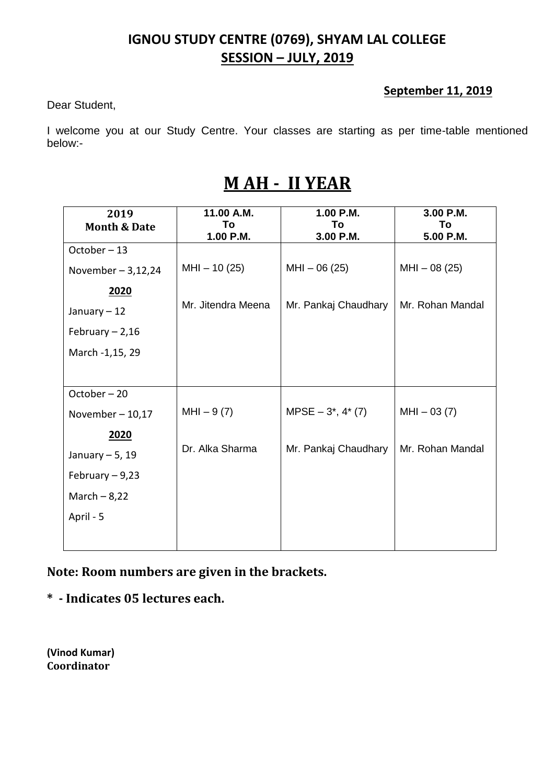#### **September 11, 2019**

Dear Student,

I welcome you at our Study Centre. Your classes are starting as per time-table mentioned below:-

# **M AH - II YEAR**

| 2019                    | 11.00 A.M.         | 1.00 P.M.             | 3.00 P.M.        |
|-------------------------|--------------------|-----------------------|------------------|
| <b>Month &amp; Date</b> | To                 | To                    | To               |
|                         | 1.00 P.M.          | 3.00 P.M.             | 5.00 P.M.        |
| $October - 13$          |                    |                       |                  |
| November $-3,12,24$     | $MHI - 10(25)$     | $MHI - 06(25)$        | $MHI - 08(25)$   |
| 2020                    |                    |                       |                  |
| January - 12            | Mr. Jitendra Meena | Mr. Pankaj Chaudhary  | Mr. Rohan Mandal |
| February $-2,16$        |                    |                       |                  |
| March -1,15, 29         |                    |                       |                  |
|                         |                    |                       |                  |
| October-20              |                    |                       |                  |
| November $-10,17$       | $MHI - 9(7)$       | $MPSE - 3^*$ , 4* (7) | $MHI - 03(7)$    |
| 2020                    |                    |                       |                  |
| January $-5$ , 19       | Dr. Alka Sharma    | Mr. Pankaj Chaudhary  | Mr. Rohan Mandal |
| February $-9,23$        |                    |                       |                  |
| March $-8,22$           |                    |                       |                  |
| April - 5               |                    |                       |                  |
|                         |                    |                       |                  |

**Note: Room numbers are given in the brackets.**

**\* - Indicates 05 lectures each.**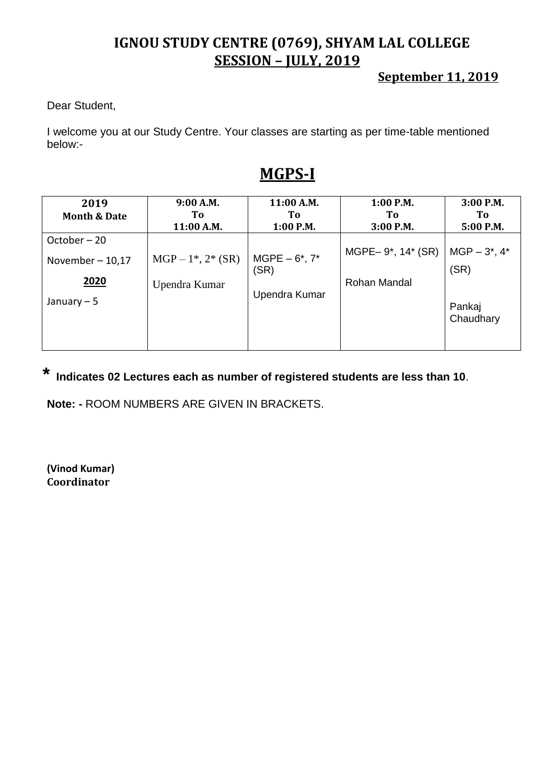**September 11, 2019**

Dear Student,

I welcome you at our Study Centre. Your classes are starting as per time-table mentioned below:-

## **MGPS-I**

| 2019                    | 9:00 A.M.            | 11:00 A.M.        | $1:00$ P.M.       | $3:00$ P.M.         |
|-------------------------|----------------------|-------------------|-------------------|---------------------|
| <b>Month &amp; Date</b> | To                   | Tо                | To                | To                  |
|                         | 11:00 A.M.           | $1:00$ P.M.       | 3:00 P.M.         | 5:00 P.M.           |
| October-20              |                      |                   |                   |                     |
| November $-10,17$       | $MGP - 1^*, 2^*(SR)$ | $MGPE - 6^*$ , 7* | MGPE-9*, 14* (SR) | $MGP - 3^*$ , 4*    |
|                         |                      | (SR)              |                   | (SR)                |
| 2020                    | Upendra Kumar        |                   | Rohan Mandal      |                     |
| January $-5$            |                      | Upendra Kumar     |                   | Pankaj<br>Chaudhary |

# **\* Indicates 02 Lectures each as number of registered students are less than 10**.

**Note: -** ROOM NUMBERS ARE GIVEN IN BRACKETS.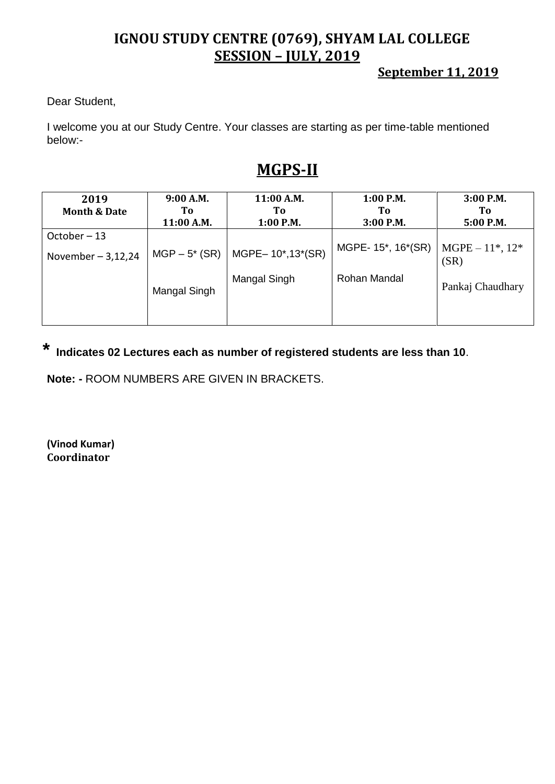**September 11, 2019**

Dear Student,

I welcome you at our Study Centre. Your classes are starting as per time-table mentioned below:-

## **MGPS-II**

| 2019                    | 9:00 A.M.       | 11:00 A.M.       | $1:00$ P.M.        | $3:00$ P.M.                 |
|-------------------------|-----------------|------------------|--------------------|-----------------------------|
| <b>Month &amp; Date</b> | To              | Tо               | Tо                 | To:                         |
|                         | 11:00 A.M.      | $1:00$ P.M.      | 3:00 P.M.          | $5:00$ P.M.                 |
| October-13              |                 |                  |                    |                             |
| November $-3,12,24$     | $MGP - 5* (SR)$ | MGPE-10*,13*(SR) | MGPE- 15*, 16*(SR) | $MGPE - 11^*, 12^*$<br>(SR) |
|                         | Mangal Singh    | Mangal Singh     | Rohan Mandal       | Pankaj Chaudhary            |
|                         |                 |                  |                    |                             |

**\* Indicates 02 Lectures each as number of registered students are less than 10**.

**Note: -** ROOM NUMBERS ARE GIVEN IN BRACKETS.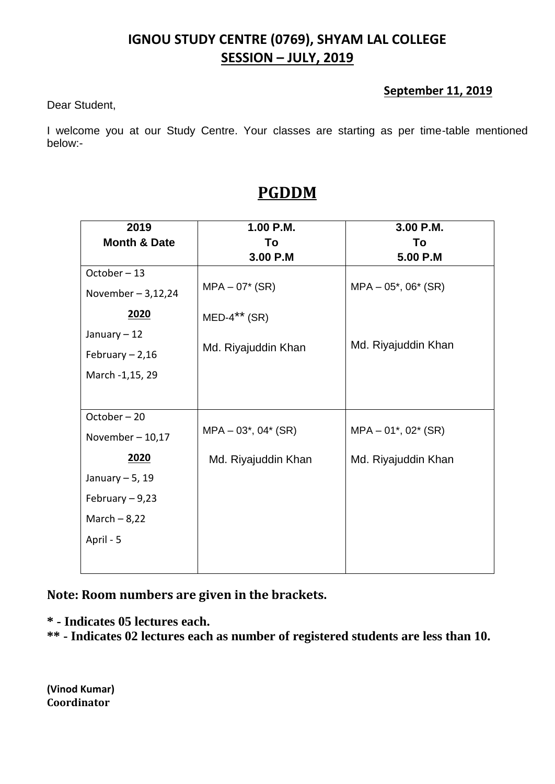#### **September 11, 2019**

Dear Student,

I welcome you at our Study Centre. Your classes are starting as per time-table mentioned below:-

| 2019<br><b>Month &amp; Date</b> | 1.00 P.M.<br>To           | 3.00 P.M.<br>To           |
|---------------------------------|---------------------------|---------------------------|
|                                 | 3.00 P.M                  | 5.00 P.M                  |
| October-13                      |                           |                           |
| November $-3,12,24$             | $MPA - 07* (SR)$          | $MPA - 05^*$ , 06 $*(SR)$ |
| 2020                            | $MED-4***$ (SR)           |                           |
| January $-12$                   |                           |                           |
| February $-2,16$                | Md. Riyajuddin Khan       | Md. Riyajuddin Khan       |
| March -1,15, 29                 |                           |                           |
|                                 |                           |                           |
| October-20                      |                           |                           |
| November $-10,17$               | $MPA - 03^*$ , 04 $*(SR)$ | $MPA - 01^*$ , 02 $*(SR)$ |
| 2020                            | Md. Riyajuddin Khan       | Md. Riyajuddin Khan       |
| January $-5$ , 19               |                           |                           |
| February $-9,23$                |                           |                           |
| March $-8,22$                   |                           |                           |
| April - 5                       |                           |                           |
|                                 |                           |                           |

## **PGDDM**

**Note: Room numbers are given in the brackets.**

- **\* - Indicates 05 lectures each.**
- **\*\* - Indicates 02 lectures each as number of registered students are less than 10.**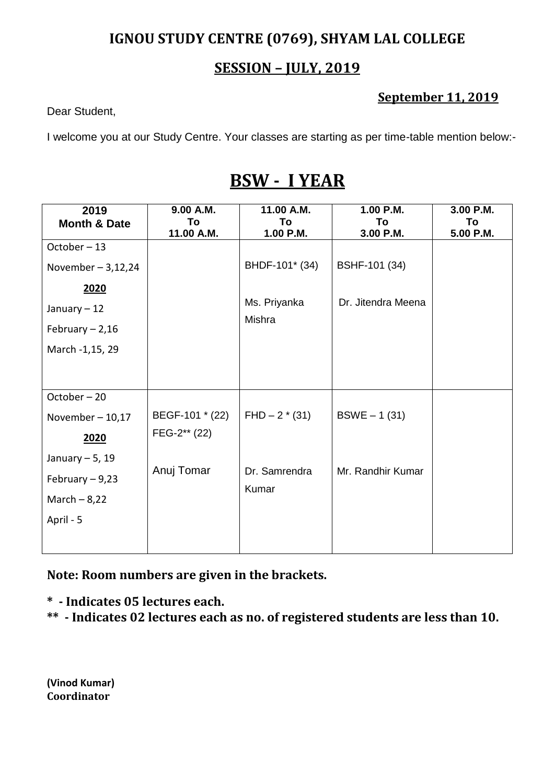### **SESSION – JULY, 2019**

### **September 11, 2019**

Dear Student,

I welcome you at our Study Centre. Your classes are starting as per time-table mention below:-

## **BSW - I YEAR**

| 2019                    | 9.00 A.M.       | 11.00 A.M.             | 1.00 P.M.          | 3.00 P.M. |
|-------------------------|-----------------|------------------------|--------------------|-----------|
| <b>Month &amp; Date</b> | To              | To                     | To                 | To        |
|                         | 11.00 A.M.      | 1.00 P.M.              | 3.00 P.M.          | 5.00 P.M. |
| October-13              |                 |                        |                    |           |
| November $-3,12,24$     |                 | BHDF-101* (34)         | BSHF-101 (34)      |           |
| 2020                    |                 |                        |                    |           |
| January $-12$           |                 | Ms. Priyanka<br>Mishra | Dr. Jitendra Meena |           |
| February $-2,16$        |                 |                        |                    |           |
| March -1,15, 29         |                 |                        |                    |           |
|                         |                 |                        |                    |           |
| October-20              |                 |                        |                    |           |
| November $-10,17$       | BEGF-101 * (22) | $FHD - 2*(31)$         | $BSWE - 1(31)$     |           |
| 2020                    | FEG-2** (22)    |                        |                    |           |
| January $-5$ , 19       |                 |                        |                    |           |
| February $-9,23$        | Anuj Tomar      | Dr. Samrendra<br>Kumar | Mr. Randhir Kumar  |           |
| March $-8,22$           |                 |                        |                    |           |
| April - 5               |                 |                        |                    |           |
|                         |                 |                        |                    |           |

**Note: Room numbers are given in the brackets.**

**\* - Indicates 05 lectures each.**

**\*\* - Indicates 02 lectures each as no. of registered students are less than 10.**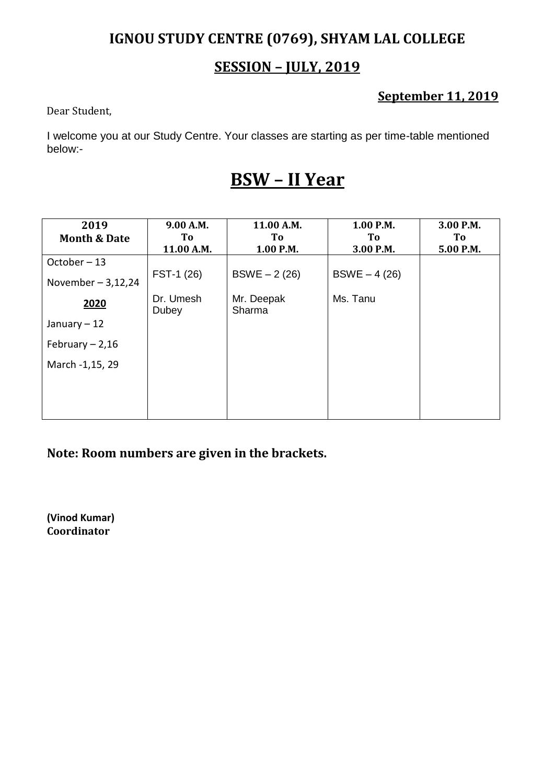### **SESSION – JULY, 2019**

### **September 11, 2019**

Dear Student,

I welcome you at our Study Centre. Your classes are starting as per time-table mentioned below:-

# **BSW – II Year**

| 2019                    | 9.00 A.M.          | 11.00 A.M.           | 1.00 P.M.      | 3.00 P.M. |
|-------------------------|--------------------|----------------------|----------------|-----------|
| <b>Month &amp; Date</b> | To                 | To                   | To             | To        |
|                         | 11.00 A.M.         | 1.00 P.M.            | 3.00 P.M.      | 5.00 P.M. |
| October-13              |                    |                      |                |           |
| November $-3,12,24$     | FST-1 (26)         | $BSWE - 2(26)$       | $BSWE - 4(26)$ |           |
| 2020                    | Dr. Umesh<br>Dubey | Mr. Deepak<br>Sharma | Ms. Tanu       |           |
| January $-12$           |                    |                      |                |           |
| February $-2,16$        |                    |                      |                |           |
| March -1,15, 29         |                    |                      |                |           |
|                         |                    |                      |                |           |
|                         |                    |                      |                |           |

**Note: Room numbers are given in the brackets.**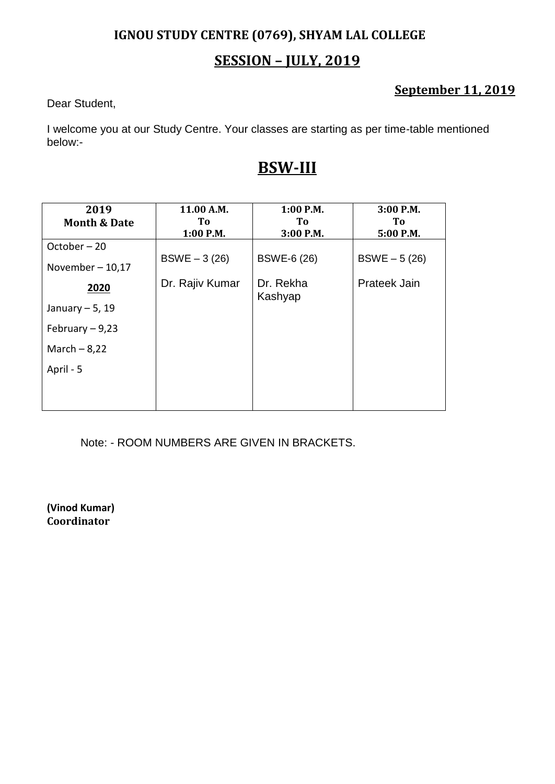## **SESSION – JULY, 2019**

### **September 11, 2019**

Dear Student,

I welcome you at our Study Centre. Your classes are starting as per time-table mentioned below:-

## **BSW-III**

| 2019                    | 11.00 A.M.      | $1:00$ P.M.          | 3:00 P.M.      |
|-------------------------|-----------------|----------------------|----------------|
| <b>Month &amp; Date</b> | To              | To.                  | To.            |
|                         | $1:00$ P.M.     | 3:00 P.M.            | 5:00 P.M.      |
| October-20              |                 |                      |                |
| November $-10,17$       | $BSWE - 3(26)$  | <b>BSWE-6 (26)</b>   | $BSWE - 5(26)$ |
| 2020                    | Dr. Rajiv Kumar | Dr. Rekha<br>Kashyap | Prateek Jain   |
| January $-5$ , 19       |                 |                      |                |
| February $-9,23$        |                 |                      |                |
| March $-8,22$           |                 |                      |                |
| April - 5               |                 |                      |                |
|                         |                 |                      |                |
|                         |                 |                      |                |

Note: - ROOM NUMBERS ARE GIVEN IN BRACKETS.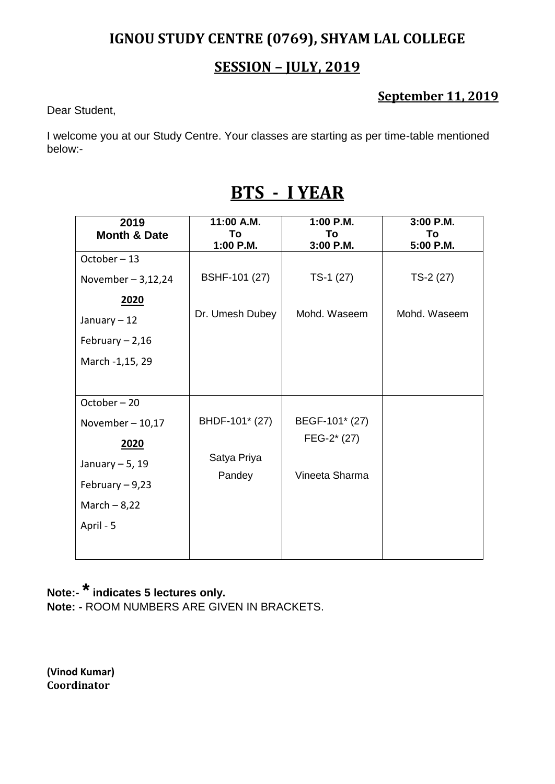#### **SESSION – JULY, 2019**

#### **September 11, 2019**

Dear Student,

I welcome you at our Study Centre. Your classes are starting as per time-table mentioned below:-

| 2019                    | 11:00 A.M.      | 1:00 P.M.      | 3:00 P.M.    |
|-------------------------|-----------------|----------------|--------------|
| <b>Month &amp; Date</b> | To              | To             | To           |
|                         | 1:00 P.M.       | 3:00 P.M.      | 5:00 P.M.    |
| October-13              |                 |                |              |
| November $-3,12,24$     | BSHF-101 (27)   | $TS-1(27)$     | $TS-2(27)$   |
| 2020                    |                 |                |              |
| January $-12$           | Dr. Umesh Dubey | Mohd. Waseem   | Mohd. Waseem |
| February $-2,16$        |                 |                |              |
| March -1,15, 29         |                 |                |              |
|                         |                 |                |              |
| October-20              |                 |                |              |
| November $-10,17$       | BHDF-101* (27)  | BEGF-101* (27) |              |
| 2020                    |                 | FEG-2* (27)    |              |
| January $-5$ , 19       | Satya Priya     | Vineeta Sharma |              |
| February $-9,23$        | Pandey          |                |              |
| March $-8,22$           |                 |                |              |
| April - 5               |                 |                |              |
|                         |                 |                |              |

# **BTS - I YEAR**

## **Note:-\*indicates 5 lectures only.**

**Note: -** ROOM NUMBERS ARE GIVEN IN BRACKETS.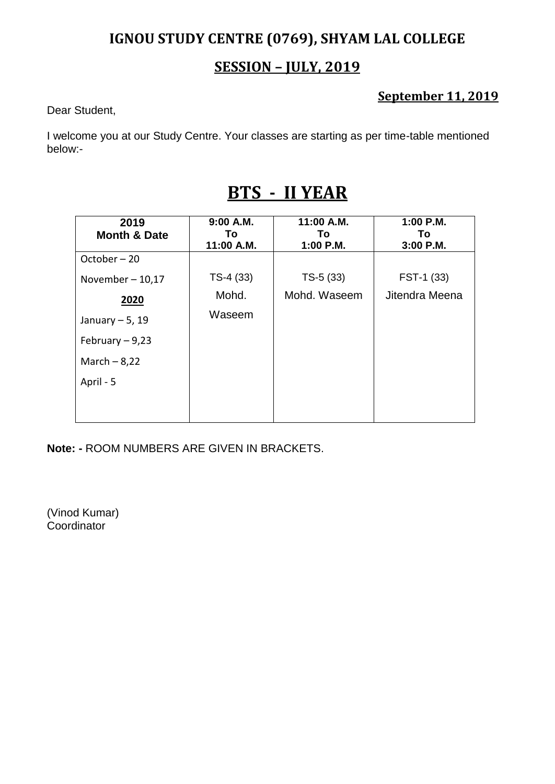#### **SESSION – JULY, 2019**

#### **September 11, 2019**

Dear Student,

I welcome you at our Study Centre. Your classes are starting as per time-table mentioned below:-

| 2019<br><b>Month &amp; Date</b> | 9:00 A.M.<br>To l<br>11:00 A.M. | 11:00 A.M.<br>To<br>1:00 P.M. | 1:00 P.M.<br>To.<br>$3:00$ P.M. |
|---------------------------------|---------------------------------|-------------------------------|---------------------------------|
| October-20                      |                                 |                               |                                 |
| November $-10,17$               | $TS-4(33)$                      | $TS-5(33)$                    | FST-1 (33)                      |
| 2020                            | Mohd.                           | Mohd. Waseem                  | Jitendra Meena                  |
| January $-5$ , 19               | Waseem                          |                               |                                 |
| February $-9,23$                |                                 |                               |                                 |
| March $-8,22$                   |                                 |                               |                                 |
| April - 5                       |                                 |                               |                                 |
|                                 |                                 |                               |                                 |
|                                 |                                 |                               |                                 |

# **BTS - II YEAR**

**Note: -** ROOM NUMBERS ARE GIVEN IN BRACKETS.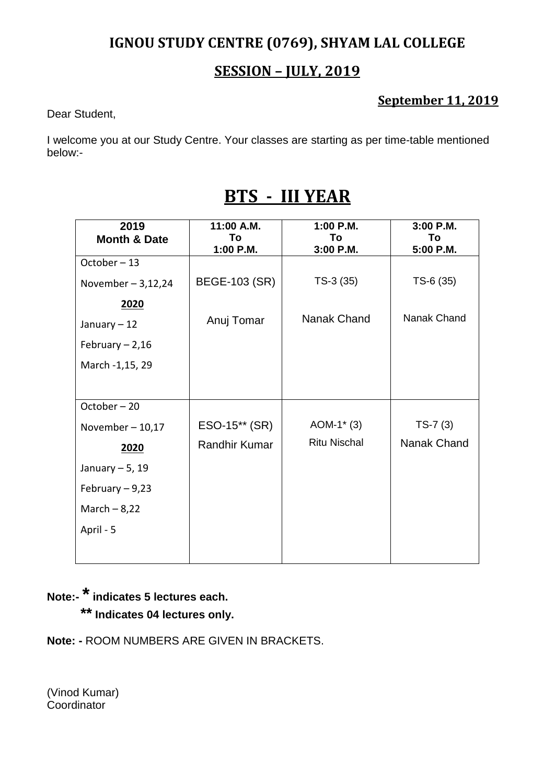### **SESSION – JULY, 2019**

#### **September 11, 2019**

Dear Student,

I welcome you at our Study Centre. Your classes are starting as per time-table mentioned below:-

| 2019                    | 11:00 A.M.           | 1:00 P.M.           | 3:00 P.M.   |
|-------------------------|----------------------|---------------------|-------------|
| <b>Month &amp; Date</b> | To                   | To                  | To          |
| October-13              | 1:00 P.M.            | 3:00 P.M.           | 5:00 P.M.   |
| November $-3,12,24$     | BEGE-103 (SR)        | $TS-3(35)$          | $TS-6(35)$  |
| 2020                    |                      |                     |             |
| January - 12            | Anuj Tomar           | Nanak Chand         | Nanak Chand |
| February $-2,16$        |                      |                     |             |
| March -1,15, 29         |                      |                     |             |
|                         |                      |                     |             |
| October-20              |                      |                     |             |
| November $-10,17$       | ESO-15** (SR)        | $AOM-1*(3)$         | $TS-7(3)$   |
| 2020                    | <b>Randhir Kumar</b> | <b>Ritu Nischal</b> | Nanak Chand |
| January $-5$ , 19       |                      |                     |             |
| February $-9,23$        |                      |                     |             |
| March $-8,22$           |                      |                     |             |
| April - 5               |                      |                     |             |
|                         |                      |                     |             |

# **BTS - III YEAR**

# **Note:-\*indicates 5 lectures each.**

**\*\* Indicates 04 lectures only.**

**Note: -** ROOM NUMBERS ARE GIVEN IN BRACKETS.